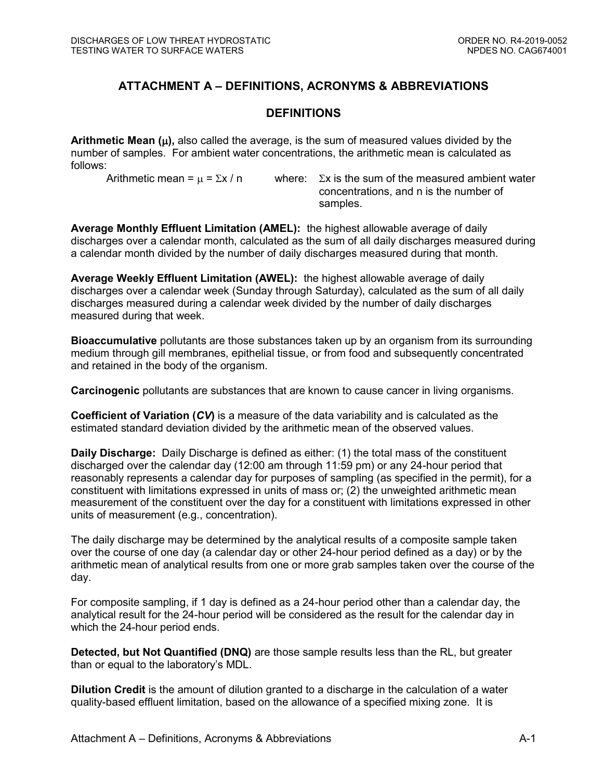# **ATTACHMENT A – DEFINITIONS, ACRONYMS & ABBREVIATIONS**

### **DEFINITIONS**

**Arithmetic Mean (),** also called the average, is the sum of measured values divided by the number of samples. For ambient water concentrations, the arithmetic mean is calculated as follows:

Arithmetic mean =  $\mu$  =  $\Sigma x / n$  where:  $\Sigma x$  is the sum of the measured ambient water concentrations, and n is the number of samples.

**Average Monthly Effluent Limitation (AMEL):** the highest allowable average of daily discharges over a calendar month, calculated as the sum of all daily discharges measured during a calendar month divided by the number of daily discharges measured during that month.

**Average Weekly Effluent Limitation (AWEL):** the highest allowable average of daily discharges over a calendar week (Sunday through Saturday), calculated as the sum of all daily discharges measured during a calendar week divided by the number of daily discharges measured during that week.

**Bioaccumulative** pollutants are those substances taken up by an organism from its surrounding medium through gill membranes, epithelial tissue, or from food and subsequently concentrated and retained in the body of the organism.

**Carcinogenic** pollutants are substances that are known to cause cancer in living organisms.

**Coefficient of Variation (***CV***)** is a measure of the data variability and is calculated as the estimated standard deviation divided by the arithmetic mean of the observed values.

**Daily Discharge:** Daily Discharge is defined as either: (1) the total mass of the constituent discharged over the calendar day (12:00 am through 11:59 pm) or any 24-hour period that reasonably represents a calendar day for purposes of sampling (as specified in the permit), for a constituent with limitations expressed in units of mass or; (2) the unweighted arithmetic mean measurement of the constituent over the day for a constituent with limitations expressed in other units of measurement (e.g., concentration).

The daily discharge may be determined by the analytical results of a composite sample taken over the course of one day (a calendar day or other 24-hour period defined as a day) or by the arithmetic mean of analytical results from one or more grab samples taken over the course of the day.

For composite sampling, if 1 day is defined as a 24-hour period other than a calendar day, the analytical result for the 24-hour period will be considered as the result for the calendar day in which the 24-hour period ends.

**Detected, but Not Quantified (DNQ)** are those sample results less than the RL, but greater than or equal to the laboratory's MDL.

**Dilution Credit** is the amount of dilution granted to a discharge in the calculation of a water quality-based effluent limitation, based on the allowance of a specified mixing zone. It is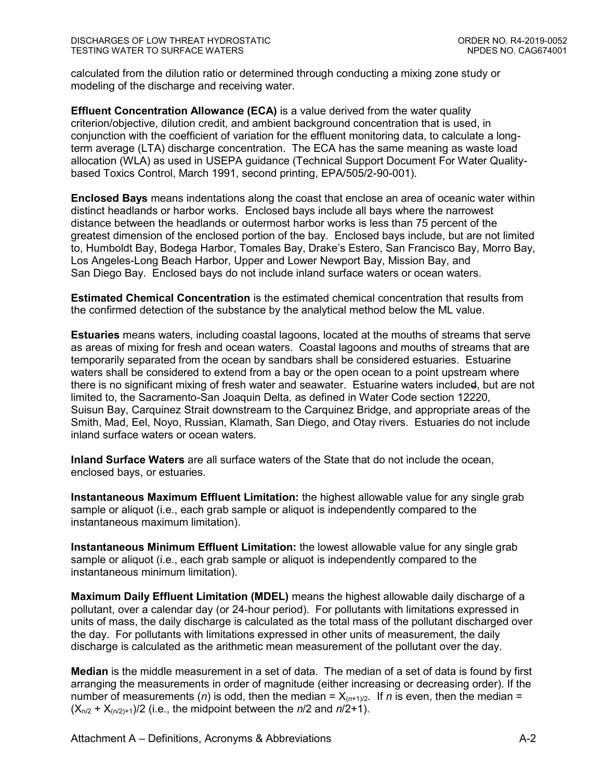calculated from the dilution ratio or determined through conducting a mixing zone study or modeling of the discharge and receiving water.

**Effluent Concentration Allowance (ECA)** is a value derived from the water quality criterion/objective, dilution credit, and ambient background concentration that is used, in conjunction with the coefficient of variation for the effluent monitoring data, to calculate a longterm average (LTA) discharge concentration. The ECA has the same meaning as waste load allocation (WLA) as used in USEPA guidance (Technical Support Document For Water Qualitybased Toxics Control, March 1991, second printing, EPA/505/2-90-001).

**Enclosed Bays** means indentations along the coast that enclose an area of oceanic water within distinct headlands or harbor works. Enclosed bays include all bays where the narrowest distance between the headlands or outermost harbor works is less than 75 percent of the greatest dimension of the enclosed portion of the bay. Enclosed bays include, but are not limited to, Humboldt Bay, Bodega Harbor, Tomales Bay, Drake's Estero, San Francisco Bay, Morro Bay, Los Angeles-Long Beach Harbor, Upper and Lower Newport Bay, Mission Bay, and San Diego Bay. Enclosed bays do not include inland surface waters or ocean waters.

**Estimated Chemical Concentration** is the estimated chemical concentration that results from the confirmed detection of the substance by the analytical method below the ML value.

**Estuaries** means waters, including coastal lagoons, located at the mouths of streams that serve as areas of mixing for fresh and ocean waters. Coastal lagoons and mouths of streams that are temporarily separated from the ocean by sandbars shall be considered estuaries. Estuarine waters shall be considered to extend from a bay or the open ocean to a point upstream where there is no significant mixing of fresh water and seawater. Estuarine waters included, but are not limited to, the Sacramento-San Joaquin Delta, as defined in Water Code section 12220, Suisun Bay, Carquinez Strait downstream to the Carquinez Bridge, and appropriate areas of the Smith, Mad, Eel, Noyo, Russian, Klamath, San Diego, and Otay rivers. Estuaries do not include inland surface waters or ocean waters.

**Inland Surface Waters** are all surface waters of the State that do not include the ocean, enclosed bays, or estuaries.

**Instantaneous Maximum Effluent Limitation:** the highest allowable value for any single grab sample or aliquot (i.e., each grab sample or aliquot is independently compared to the instantaneous maximum limitation).

**Instantaneous Minimum Effluent Limitation:** the lowest allowable value for any single grab sample or aliquot (i.e., each grab sample or aliquot is independently compared to the instantaneous minimum limitation).

**Maximum Daily Effluent Limitation (MDEL)** means the highest allowable daily discharge of a pollutant, over a calendar day (or 24-hour period). For pollutants with limitations expressed in units of mass, the daily discharge is calculated as the total mass of the pollutant discharged over the day. For pollutants with limitations expressed in other units of measurement, the daily discharge is calculated as the arithmetic mean measurement of the pollutant over the day.

**Median** is the middle measurement in a set of data. The median of a set of data is found by first arranging the measurements in order of magnitude (either increasing or decreasing order). If the number of measurements (*n*) is odd, then the median =  $X_{(n+1)/2}$ . If *n* is even, then the median =  $(X_{n/2} + X_{n/2+1})/2$  (i.e., the midpoint between the *n*/2 and *n*/2+1).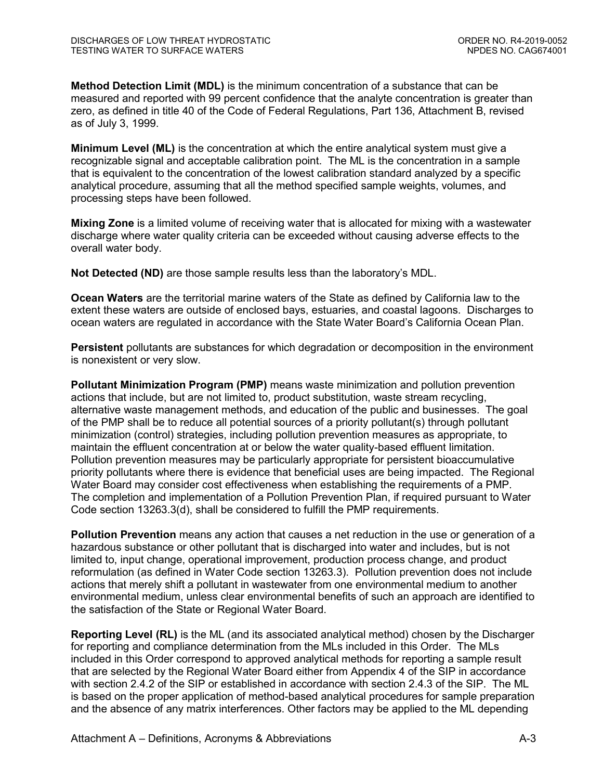**Method Detection Limit (MDL)** is the minimum concentration of a substance that can be measured and reported with 99 percent confidence that the analyte concentration is greater than zero, as defined in title 40 of the Code of Federal Regulations, Part 136, Attachment B, revised as of July 3, 1999.

**Minimum Level (ML)** is the concentration at which the entire analytical system must give a recognizable signal and acceptable calibration point. The ML is the concentration in a sample that is equivalent to the concentration of the lowest calibration standard analyzed by a specific analytical procedure, assuming that all the method specified sample weights, volumes, and processing steps have been followed.

**Mixing Zone** is a limited volume of receiving water that is allocated for mixing with a wastewater discharge where water quality criteria can be exceeded without causing adverse effects to the overall water body.

**Not Detected (ND)** are those sample results less than the laboratory's MDL.

**Ocean Waters** are the territorial marine waters of the State as defined by California law to the extent these waters are outside of enclosed bays, estuaries, and coastal lagoons. Discharges to ocean waters are regulated in accordance with the State Water Board's California Ocean Plan.

**Persistent** pollutants are substances for which degradation or decomposition in the environment is nonexistent or very slow.

**Pollutant Minimization Program (PMP)** means waste minimization and pollution prevention actions that include, but are not limited to, product substitution, waste stream recycling, alternative waste management methods, and education of the public and businesses. The goal of the PMP shall be to reduce all potential sources of a priority pollutant(s) through pollutant minimization (control) strategies, including pollution prevention measures as appropriate, to maintain the effluent concentration at or below the water quality-based effluent limitation. Pollution prevention measures may be particularly appropriate for persistent bioaccumulative priority pollutants where there is evidence that beneficial uses are being impacted. The Regional Water Board may consider cost effectiveness when establishing the requirements of a PMP. The completion and implementation of a Pollution Prevention Plan, if required pursuant to Water Code section 13263.3(d), shall be considered to fulfill the PMP requirements.

**Pollution Prevention** means any action that causes a net reduction in the use or generation of a hazardous substance or other pollutant that is discharged into water and includes, but is not limited to, input change, operational improvement, production process change, and product reformulation (as defined in Water Code section 13263.3). Pollution prevention does not include actions that merely shift a pollutant in wastewater from one environmental medium to another environmental medium, unless clear environmental benefits of such an approach are identified to the satisfaction of the State or Regional Water Board.

**Reporting Level (RL)** is the ML (and its associated analytical method) chosen by the Discharger for reporting and compliance determination from the MLs included in this Order. The MLs included in this Order correspond to approved analytical methods for reporting a sample result that are selected by the Regional Water Board either from Appendix 4 of the SIP in accordance with section 2.4.2 of the SIP or established in accordance with section 2.4.3 of the SIP. The ML is based on the proper application of method-based analytical procedures for sample preparation and the absence of any matrix interferences. Other factors may be applied to the ML depending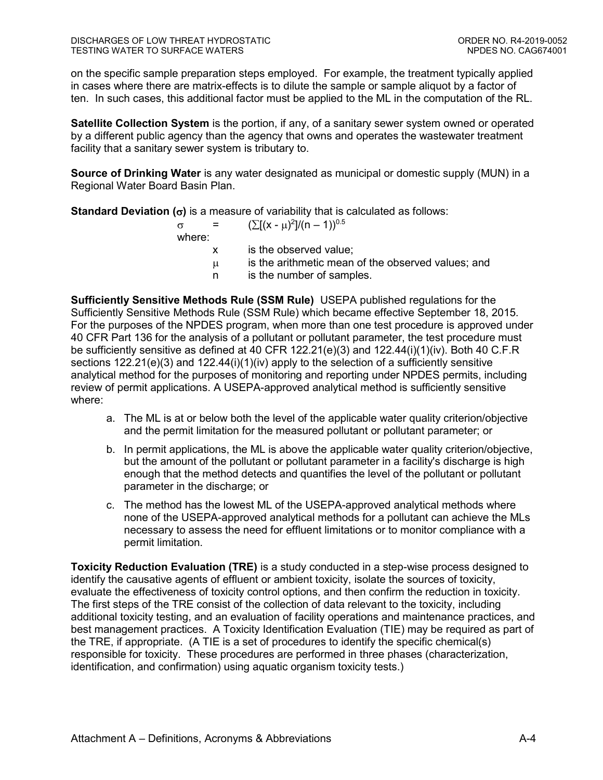on the specific sample preparation steps employed. For example, the treatment typically applied in cases where there are matrix-effects is to dilute the sample or sample aliquot by a factor of ten. In such cases, this additional factor must be applied to the ML in the computation of the RL.

**Satellite Collection System** is the portion, if any, of a sanitary sewer system owned or operated by a different public agency than the agency that owns and operates the wastewater treatment facility that a sanitary sewer system is tributary to.

**Source of Drinking Water** is any water designated as municipal or domestic supply (MUN) in a Regional Water Board Basin Plan.

**Standard Deviation**  $(\sigma)$  is a measure of variability that is calculated as follows:

| $\sigma$ | and the set | $(\sum [(x - \mu)^2]/(n - 1))^{0.5}$               |
|----------|-------------|----------------------------------------------------|
| where:   |             |                                                    |
|          | X.          | is the observed value;                             |
|          | u           | is the arithmetic mean of the observed values; and |
|          | n           | is the number of samples.                          |

**Sufficiently Sensitive Methods Rule (SSM Rule)** USEPA published regulations for the Sufficiently Sensitive Methods Rule (SSM Rule) which became effective September 18, 2015. For the purposes of the NPDES program, when more than one test procedure is approved under 40 CFR Part 136 for the analysis of a pollutant or pollutant parameter, the test procedure must be sufficiently sensitive as defined at 40 CFR 122.21(e)(3) and 122.44(i)(1)(iv). Both 40 C.F.R sections  $122.21(e)(3)$  and  $122.44(i)(1)(iv)$  apply to the selection of a sufficiently sensitive analytical method for the purposes of monitoring and reporting under NPDES permits, including review of permit applications. A USEPA-approved analytical method is sufficiently sensitive where:

- a. The ML is at or below both the level of the applicable water quality criterion/objective and the permit limitation for the measured pollutant or pollutant parameter; or
- b. In permit applications, the ML is above the applicable water quality criterion/objective, but the amount of the pollutant or pollutant parameter in a facility's discharge is high enough that the method detects and quantifies the level of the pollutant or pollutant parameter in the discharge; or
- c. The method has the lowest ML of the USEPA-approved analytical methods where none of the USEPA-approved analytical methods for a pollutant can achieve the MLs necessary to assess the need for effluent limitations or to monitor compliance with a permit limitation.

**Toxicity Reduction Evaluation (TRE)** is a study conducted in a step-wise process designed to identify the causative agents of effluent or ambient toxicity, isolate the sources of toxicity, evaluate the effectiveness of toxicity control options, and then confirm the reduction in toxicity. The first steps of the TRE consist of the collection of data relevant to the toxicity, including additional toxicity testing, and an evaluation of facility operations and maintenance practices, and best management practices. A Toxicity Identification Evaluation (TIE) may be required as part of the TRE, if appropriate. (A TIE is a set of procedures to identify the specific chemical(s) responsible for toxicity. These procedures are performed in three phases (characterization, identification, and confirmation) using aquatic organism toxicity tests.)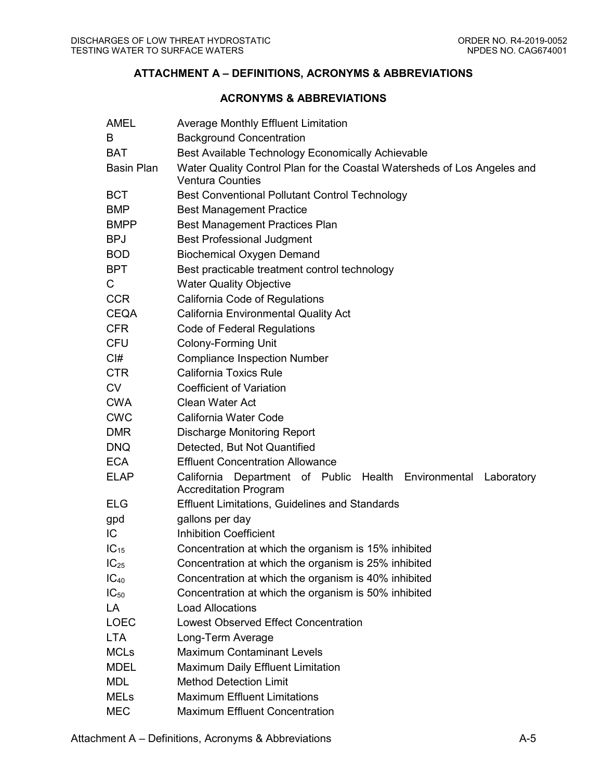## **ATTACHMENT A – DEFINITIONS, ACRONYMS & ABBREVIATIONS**

#### **ACRONYMS & ABBREVIATIONS**

| AMEL              | <b>Average Monthly Effluent Limitation</b>                                                          |
|-------------------|-----------------------------------------------------------------------------------------------------|
| B                 | <b>Background Concentration</b>                                                                     |
| <b>BAT</b>        | Best Available Technology Economically Achievable                                                   |
| <b>Basin Plan</b> | Water Quality Control Plan for the Coastal Watersheds of Los Angeles and<br><b>Ventura Counties</b> |
| <b>BCT</b>        | <b>Best Conventional Pollutant Control Technology</b>                                               |
| <b>BMP</b>        | <b>Best Management Practice</b>                                                                     |
| <b>BMPP</b>       | <b>Best Management Practices Plan</b>                                                               |
| <b>BPJ</b>        | <b>Best Professional Judgment</b>                                                                   |
| <b>BOD</b>        | <b>Biochemical Oxygen Demand</b>                                                                    |
| BPT               | Best practicable treatment control technology                                                       |
| C                 | <b>Water Quality Objective</b>                                                                      |
| <b>CCR</b>        | California Code of Regulations                                                                      |
| <b>CEQA</b>       | <b>California Environmental Quality Act</b>                                                         |
| <b>CFR</b>        | Code of Federal Regulations                                                                         |
| <b>CFU</b>        | <b>Colony-Forming Unit</b>                                                                          |
| Cl#               | <b>Compliance Inspection Number</b>                                                                 |
| CTR               | <b>California Toxics Rule</b>                                                                       |
| <b>CV</b>         | <b>Coefficient of Variation</b>                                                                     |
| <b>CWA</b>        | <b>Clean Water Act</b>                                                                              |
| <b>CWC</b>        | California Water Code                                                                               |
| <b>DMR</b>        | <b>Discharge Monitoring Report</b>                                                                  |
| <b>DNQ</b>        | Detected, But Not Quantified                                                                        |
| <b>ECA</b>        | <b>Effluent Concentration Allowance</b>                                                             |
| <b>ELAP</b>       | California Department of Public Health Environmental<br>Laboratory<br><b>Accreditation Program</b>  |
| <b>ELG</b>        | <b>Effluent Limitations, Guidelines and Standards</b>                                               |
| gpd               | gallons per day                                                                                     |
| IC                | <b>Inhibition Coefficient</b>                                                                       |
| IC <sub>15</sub>  | Concentration at which the organism is 15% inhibited                                                |
| $IC_{25}$         | Concentration at which the organism is 25% inhibited                                                |
| $IC_{40}$         | Concentration at which the organism is 40% inhibited                                                |
| $IC_{50}$         | Concentration at which the organism is 50% inhibited                                                |
| LA                | <b>Load Allocations</b>                                                                             |
| <b>LOEC</b>       | <b>Lowest Observed Effect Concentration</b>                                                         |
| <b>LTA</b>        | Long-Term Average                                                                                   |
| <b>MCLs</b>       | <b>Maximum Contaminant Levels</b>                                                                   |
| <b>MDEL</b>       | <b>Maximum Daily Effluent Limitation</b>                                                            |
| <b>MDL</b>        | <b>Method Detection Limit</b>                                                                       |
| <b>MELs</b>       | <b>Maximum Effluent Limitations</b>                                                                 |
| <b>MEC</b>        | <b>Maximum Effluent Concentration</b>                                                               |